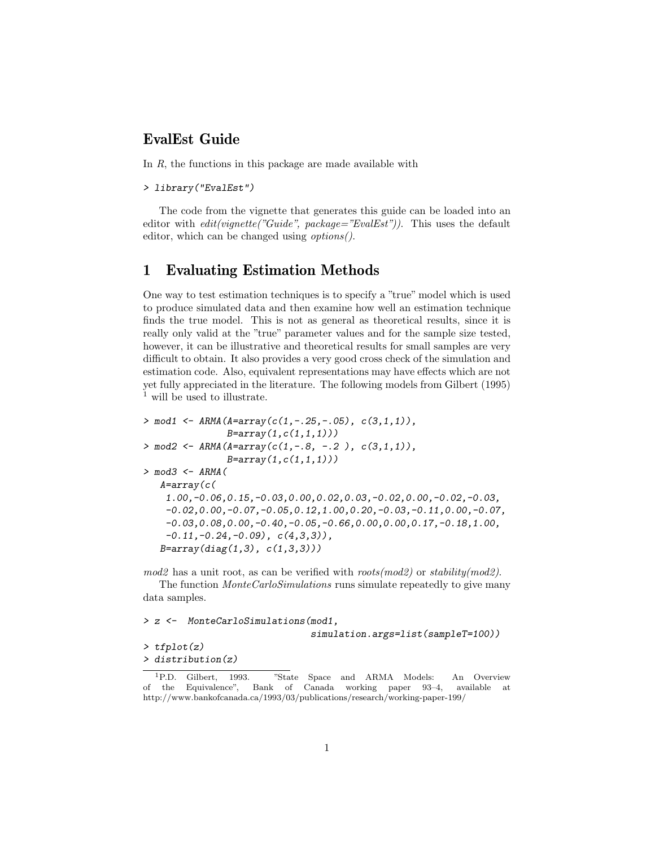## EvalEst Guide

In  $R$ , the functions in this package are made available with

```
> library("EvalEst")
```
The code from the vignette that generates this guide can be loaded into an editor with  $edit(vignette("Guide", package="EvalEst"))$ . This uses the default editor, which can be changed using options().

## 1 Evaluating Estimation Methods

One way to test estimation techniques is to specify a "true" model which is used to produce simulated data and then examine how well an estimation technique finds the true model. This is not as general as theoretical results, since it is really only valid at the "true" parameter values and for the sample size tested, however, it can be illustrative and theoretical results for small samples are very difficult to obtain. It also provides a very good cross check of the simulation and estimation code. Also, equivalent representations may have effects which are not yet fully appreciated in the literature. The following models from Gilbert (1995) will be used to illustrate.

```
> mod1 <- ARMA(A=array(c(1, -.25, -.05), c(3, 1, 1)),
               B=array(1,c(1,1,1)))> mod2 <- ARMA(A=array(c(1,-.8, -.2 ), c(3,1,1)),
               B=array(1,c(1,1,1)))> mod3 <- ARMA(
   A=array(c(
    1.00,-0.06,0.15,-0.03,0.00,0.02,0.03,-0.02,0.00,-0.02,-0.03,
    -0.02,0.00,-0.07,-0.05,0.12,1.00,0.20,-0.03,-0.11,0.00,-0.07,
    -0.03,0.08,0.00,-0.40,-0.05,-0.66,0.00,0.00,0.17,-0.18,1.00,
    -0.11, -0.24, -0.09, c(4,3,3),
   B=array(diag(1,3), c(1,3,3)))
```
 $mod2$  has a unit root, as can be verified with  $roots(mod2)$  or  $stability(mod2)$ .

The function *MonteCarloSimulations* runs simulate repeatedly to give many data samples.

> z <- MonteCarloSimulations(mod1, simulation.args=list(sampleT=100))  $> tfplot(z)$ 

> distribution(z)

<sup>1</sup>P.D. Gilbert, 1993. "State Space and ARMA Models: An Overview of the Equivalence", Bank of Canada working paper 93–4, available at http://www.bankofcanada.ca/1993/03/publications/research/working-paper-199/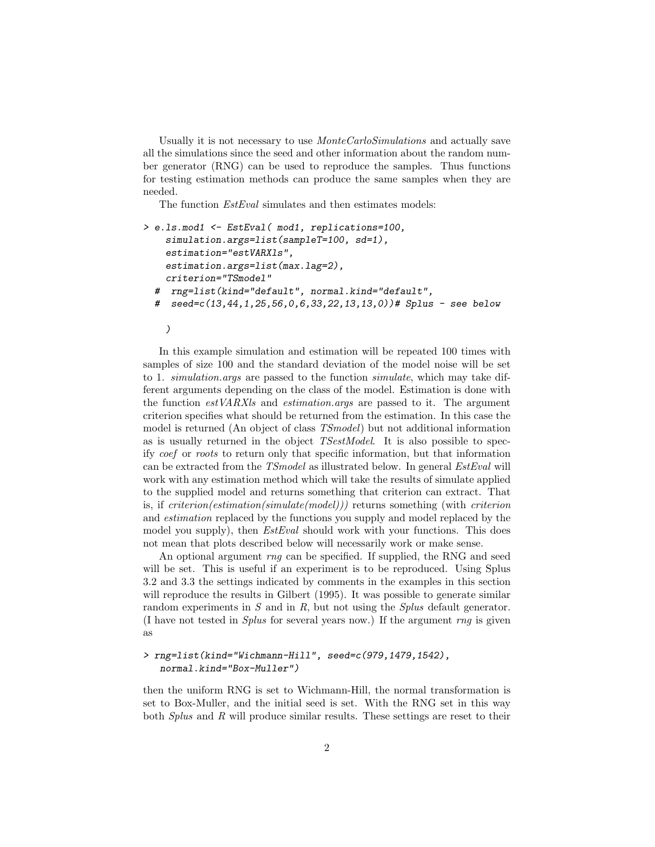Usually it is not necessary to use *MonteCarloSimulations* and actually save all the simulations since the seed and other information about the random number generator (RNG) can be used to reproduce the samples. Thus functions for testing estimation methods can produce the same samples when they are needed.

The function *EstEval* simulates and then estimates models:

```
> e.ls.mod1 <- EstEval( mod1, replications=100,
    simulation.args=list(sampleT=100, sd=1),
    estimation="estVARXls",
   estimation.args=list(max.lag=2),
   criterion="TSmodel"
 # rng=list(kind="default", normal.kind="default",
 # seed=c(13,44,1,25,56,0,6,33,22,13,13,0))# Splus - see below
   )
```
In this example simulation and estimation will be repeated 100 times with samples of size 100 and the standard deviation of the model noise will be set to 1. simulation.args are passed to the function simulate, which may take different arguments depending on the class of the model. Estimation is done with the function estVARXls and estimation.args are passed to it. The argument criterion specifies what should be returned from the estimation. In this case the model is returned (An object of class TSmodel) but not additional information as is usually returned in the object TSestModel. It is also possible to specify coef or roots to return only that specific information, but that information can be extracted from the TSmodel as illustrated below. In general EstEval will work with any estimation method which will take the results of simulate applied to the supplied model and returns something that criterion can extract. That is, if  $criterion(estimation(simulate(model)))$  returns something (with *criterion*) and estimation replaced by the functions you supply and model replaced by the model you supply), then *EstEval* should work with your functions. This does not mean that plots described below will necessarily work or make sense.

An optional argument rng can be specified. If supplied, the RNG and seed will be set. This is useful if an experiment is to be reproduced. Using Splus 3.2 and 3.3 the settings indicated by comments in the examples in this section will reproduce the results in Gilbert (1995). It was possible to generate similar random experiments in S and in R, but not using the Splus default generator. (I have not tested in Splus for several years now.) If the argument rng is given as

## > rng=list(kind="Wichmann-Hill", seed=c(979,1479,1542), normal.kind="Box-Muller")

then the uniform RNG is set to Wichmann-Hill, the normal transformation is set to Box-Muller, and the initial seed is set. With the RNG set in this way both Splus and R will produce similar results. These settings are reset to their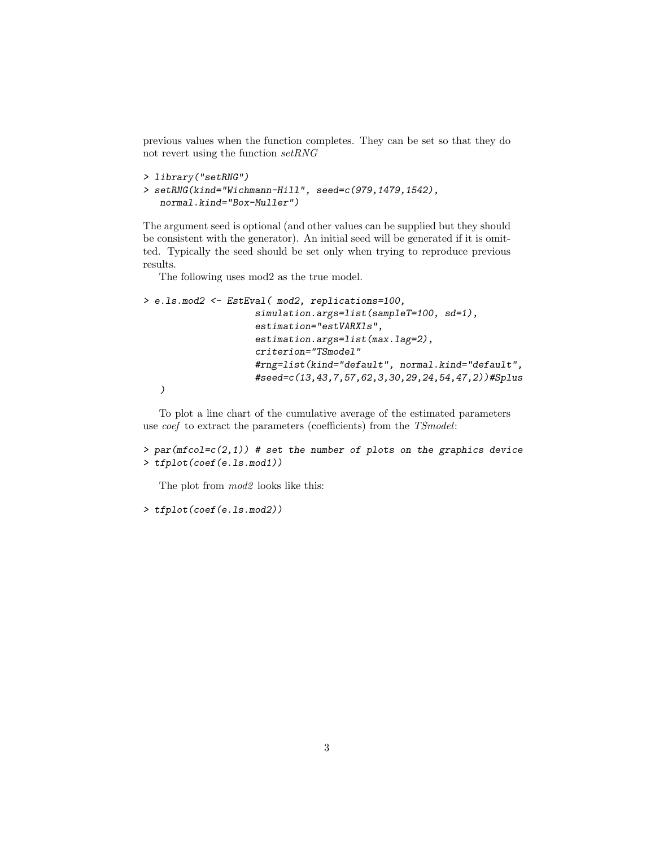previous values when the function completes. They can be set so that they do not revert using the function setRNG

```
> library("setRNG")
> setRNG(kind="Wichmann-Hill", seed=c(979,1479,1542),
   normal.kind="Box-Muller")
```
The argument seed is optional (and other values can be supplied but they should be consistent with the generator). An initial seed will be generated if it is omitted. Typically the seed should be set only when trying to reproduce previous results.

The following uses mod2 as the true model.

```
> e.ls.mod2 <- EstEval( mod2, replications=100,
                    simulation.args=list(sampleT=100, sd=1),
                    estimation="estVARXls",
                    estimation.args=list(max.lag=2),
                    criterion="TSmodel"
                    #rng=list(kind="default", normal.kind="default",
                    #seed=c(13,43,7,57,62,3,30,29,24,54,47,2))#Splus
   )
```
To plot a line chart of the cumulative average of the estimated parameters use *coef* to extract the parameters (coefficients) from the *TSmodel*:

```
> par(mfcol=c(2,1)) # set the number of plots on the graphics device
> tfplot(coef(e.ls.mod1))
```
The plot from  $mod2$  looks like this:

```
> tfplot(coef(e.ls.mod2))
```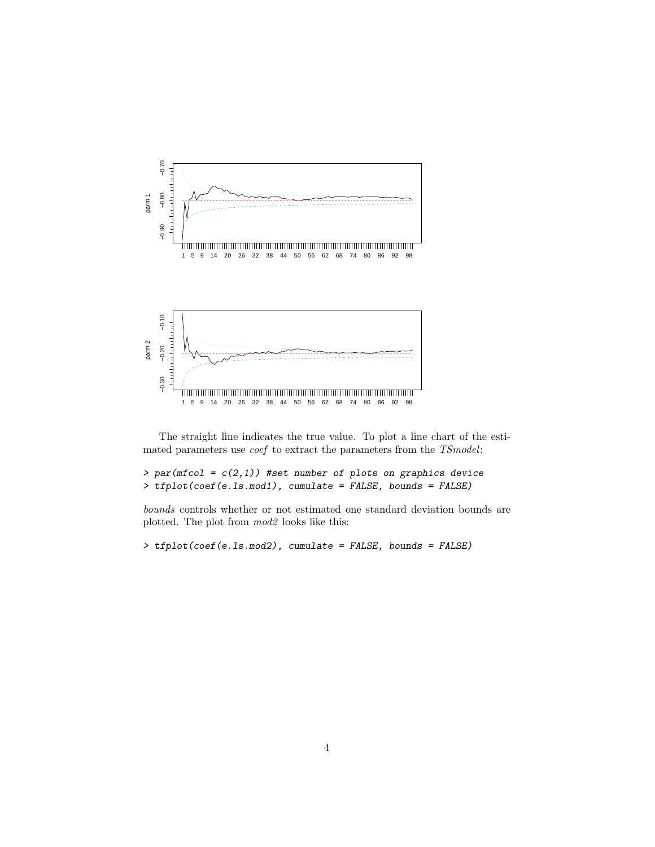

The straight line indicates the true value. To plot a line chart of the estimated parameters use  $\textit{coef}$  to extract the parameters from the  $\emph{TSmodel:}$ 

```
> par(mfcol = c(2,1)) #set number of plots on graphics device
> tfplot(coef(e.ls.mod1), cumulate = FALSE, bounds = FALSE)
```
bounds controls whether or not estimated one standard deviation bounds are plotted. The plot from mod2 looks like this:

> tfplot(coef(e.ls.mod2), cumulate = FALSE, bounds = FALSE)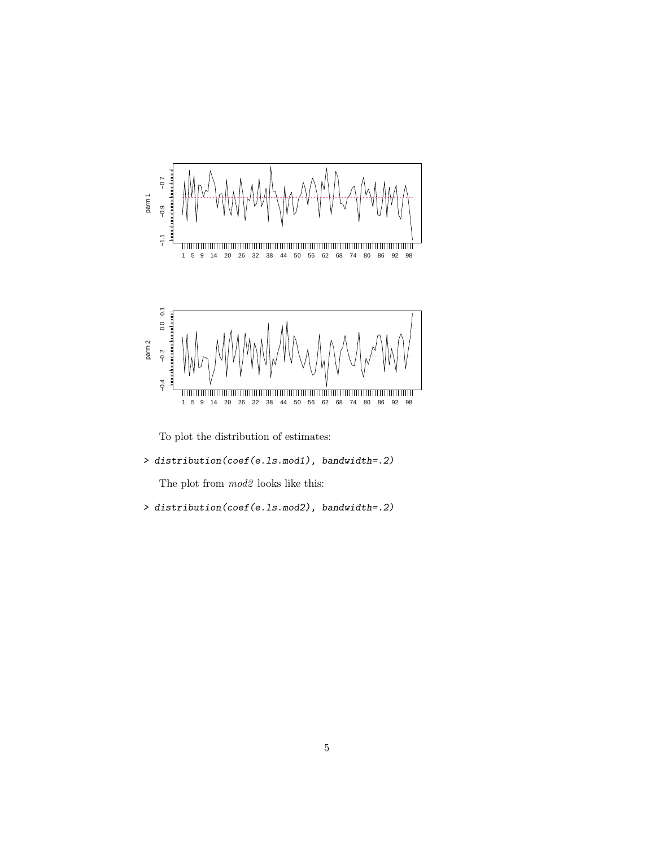

To plot the distribution of estimates:

> distribution(coef(e.ls.mod1), bandwidth=.2)

The plot from  $mod2$  looks like this:

> distribution(coef(e.ls.mod2), bandwidth=.2)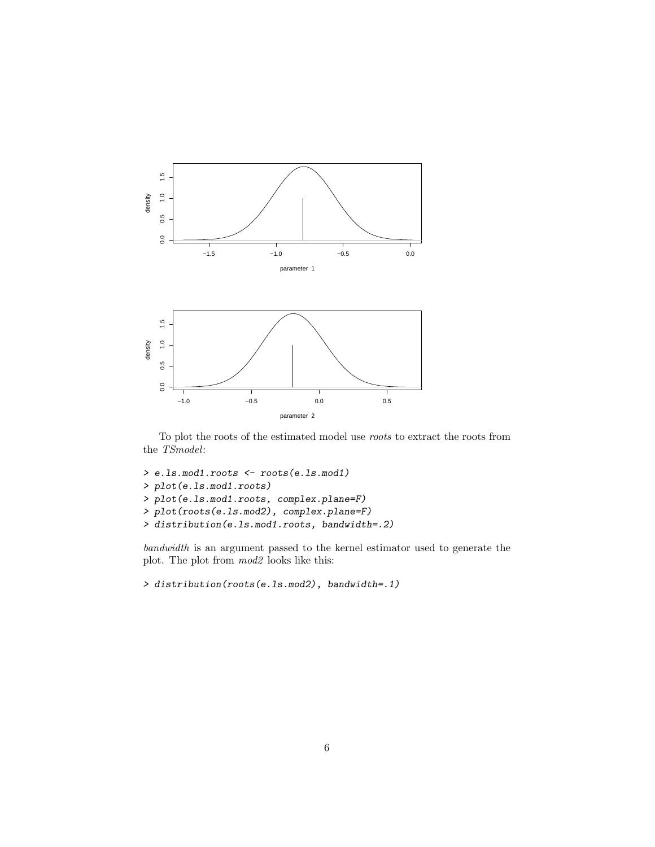

To plot the roots of the estimated model use roots to extract the roots from the TSmodel:

```
> e.ls.mod1.roots <- roots(e.ls.mod1)
> plot(e.ls.mod1.roots)
> plot(e.ls.mod1.roots, complex.plane=F)
> plot(roots(e.ls.mod2), complex.plane=F)
> distribution(e.ls.mod1.roots, bandwidth=.2)
```
bandwidth is an argument passed to the kernel estimator used to generate the plot. The plot from mod2 looks like this:

```
> distribution(roots(e.ls.mod2), bandwidth=.1)
```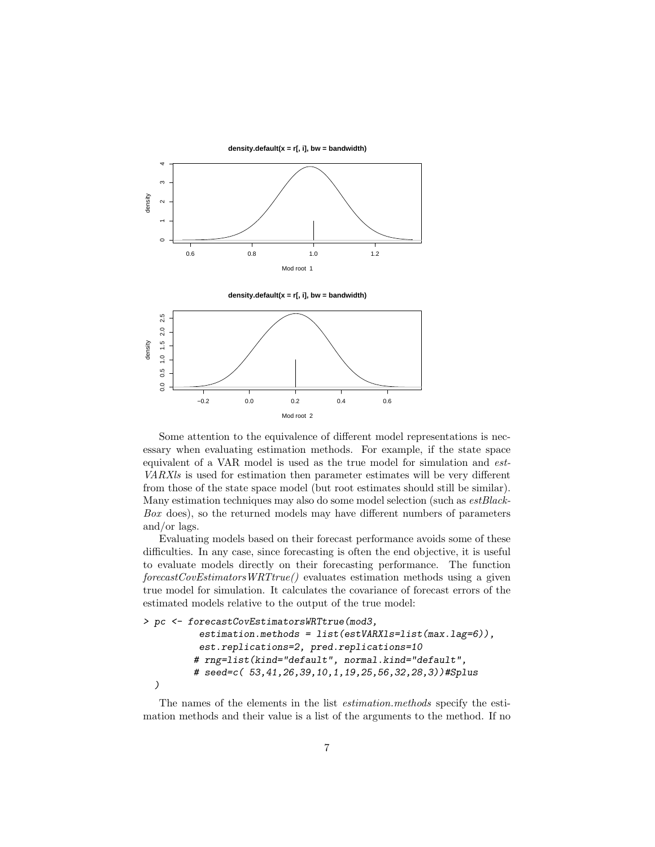



**density.default(x = r[, i], bw = bandwidth)**



Some attention to the equivalence of different model representations is necessary when evaluating estimation methods. For example, if the state space equivalent of a VAR model is used as the true model for simulation and est-VARXls is used for estimation then parameter estimates will be very different from those of the state space model (but root estimates should still be similar). Many estimation techniques may also do some model selection (such as estBlack-Box does), so the returned models may have different numbers of parameters and/or lags.

Evaluating models based on their forecast performance avoids some of these difficulties. In any case, since forecasting is often the end objective, it is useful to evaluate models directly on their forecasting performance. The function forecastCovEstimatorsWRTtrue() evaluates estimation methods using a given true model for simulation. It calculates the covariance of forecast errors of the estimated models relative to the output of the true model:

```
> pc <- forecastCovEstimatorsWRTtrue(mod3,
          estimation.methods = list(estVARXls=list(max.lag=6)),
          est.replications=2, pred.replications=10
         # rng=list(kind="default", normal.kind="default",
         # seed=c( 53,41,26,39,10,1,19,25,56,32,28,3))#Splus
  )
```
The names of the elements in the list *estimation.methods* specify the estimation methods and their value is a list of the arguments to the method. If no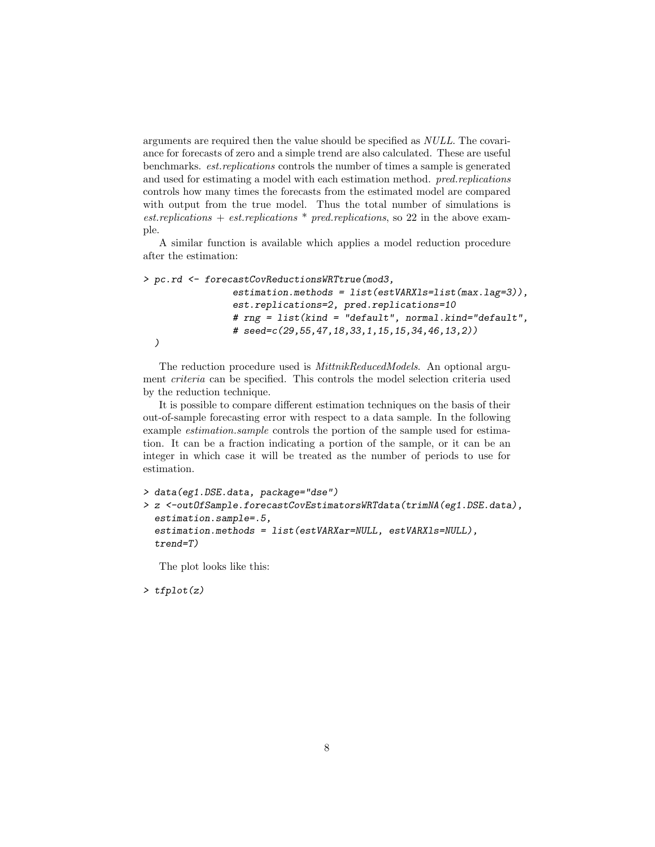arguments are required then the value should be specified as NULL. The covariance for forecasts of zero and a simple trend are also calculated. These are useful benchmarks. est.replications controls the number of times a sample is generated and used for estimating a model with each estimation method. pred.replications controls how many times the forecasts from the estimated model are compared with output from the true model. Thus the total number of simulations is est.replications + est.replications \* pred.replications, so 22 in the above example.

A similar function is available which applies a model reduction procedure after the estimation:

```
> pc.rd <- forecastCovReductionsWRTtrue(mod3,
                estimation.methods = list(estVARX1s=list(max.lag=3)),
                est.replications=2, pred.replications=10
                # rng = list(kind = "default", normal.kind="default",
                # seed=c(29,55,47,18,33,1,15,15,34,46,13,2))
  )
```
The reduction procedure used is MittnikReducedModels. An optional argument criteria can be specified. This controls the model selection criteria used by the reduction technique.

It is possible to compare different estimation techniques on the basis of their out-of-sample forecasting error with respect to a data sample. In the following example estimation.sample controls the portion of the sample used for estimation. It can be a fraction indicating a portion of the sample, or it can be an integer in which case it will be treated as the number of periods to use for estimation.

```
> data(eg1.DSE.data, package="dse")
> z <-outOfSample.forecastCovEstimatorsWRTdata(trimNA(eg1.DSE.data),
  estimation.sample=.5,
  estimation.methods = list(estVARXar=NULL, estVARXls=NULL),
  trend=T)
```
The plot looks like this:

 $> tfplot(z)$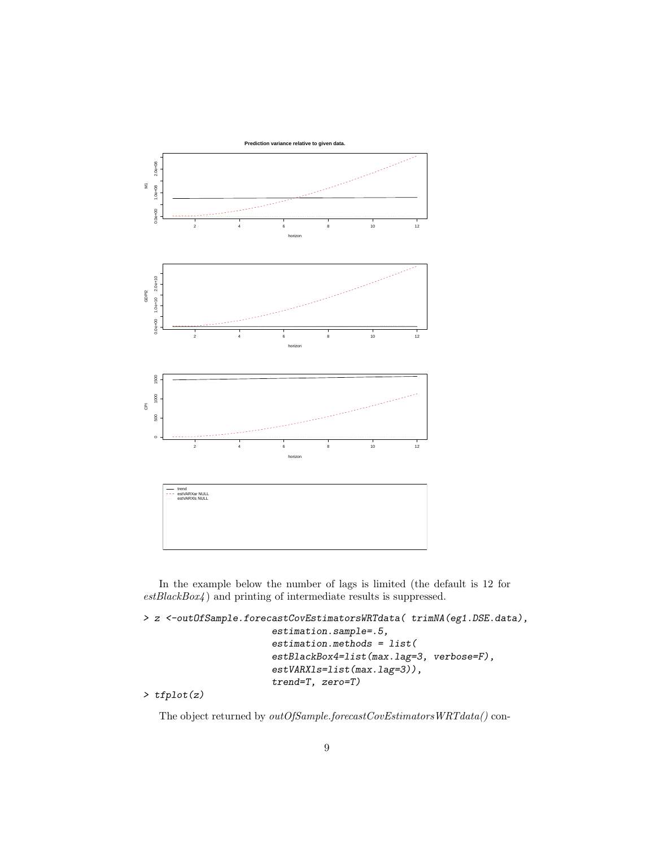

In the example below the number of lags is limited (the default is 12 for  $estBlackBox4$  and printing of intermediate results is suppressed.

```
> z <-outOfSample.forecastCovEstimatorsWRTdata( trimNA(eg1.DSE.data),
                       estimation.sample=.5,
                       estimation.methods = list(
                       estBlackBox4=list(max.lag=3, verbose=F),
                       estVARXls=list(max.lag=3)),
                       trend=T, zero=T)
```
> tfplot(z)

The object returned by *outOfSample.forecastCovEstimatorsWRTdata()* con-